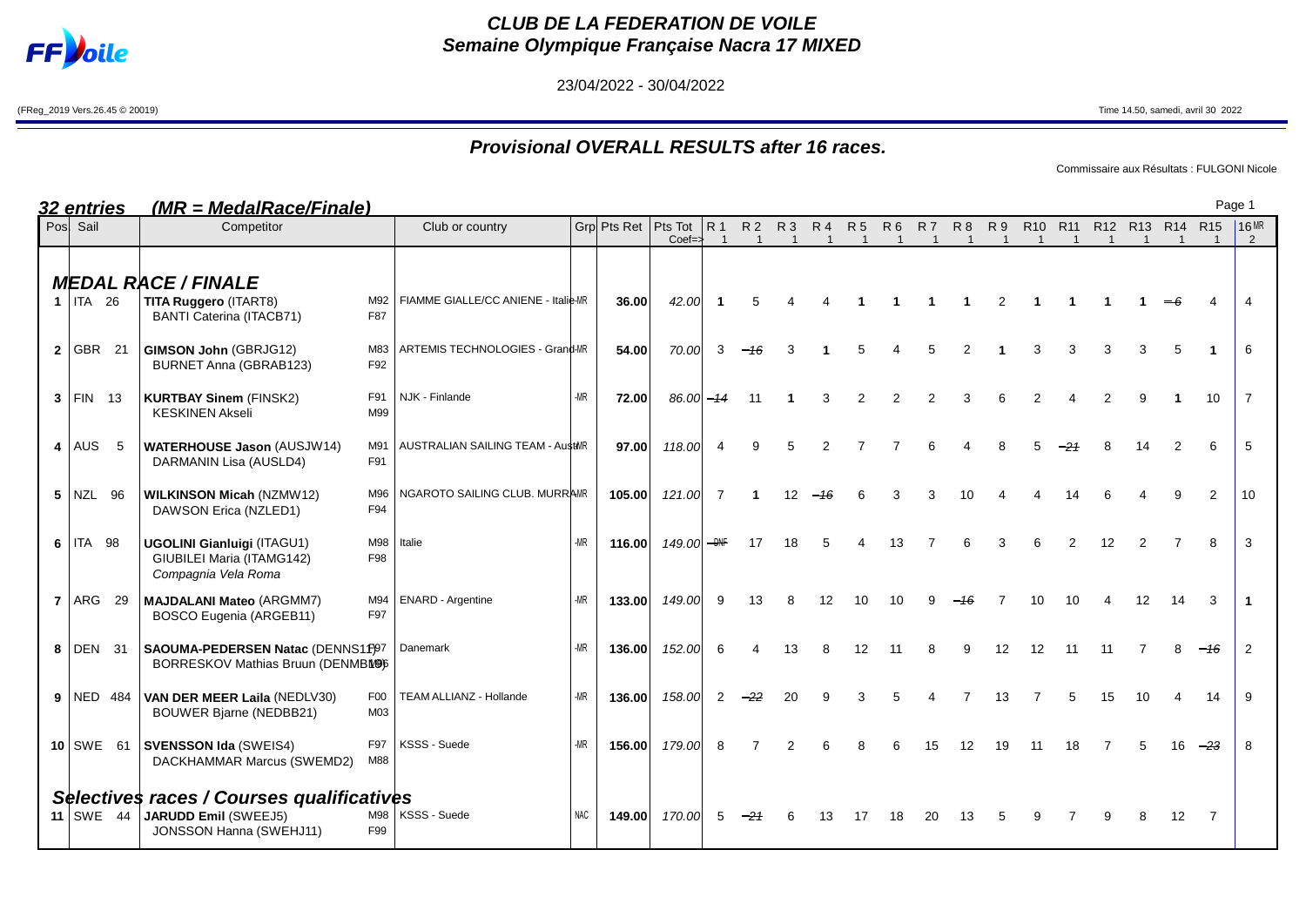

## **CLUB DE LA FEDERATION DE VOILE Semaine Olympique Française Nacra 17 MIXED**

23/04/2022 - 30/04/2022

(FReg\_2019 Vers.26.45 © 20019) Time 14.50, samedi, avril 30 2022

## **Provisional OVERALL RESULTS after 16 races.**

Commissaire aux Résultats : FULGONI Nicole

| 32 entries   | (MR = MedalRace/Finale)                                                                             |                       |                                     |            |                       |                           |                                         |                             |                |                         |                             |                       |                |                            |                |                |                                           |                |    |    |       | Page 1              |
|--------------|-----------------------------------------------------------------------------------------------------|-----------------------|-------------------------------------|------------|-----------------------|---------------------------|-----------------------------------------|-----------------------------|----------------|-------------------------|-----------------------------|-----------------------|----------------|----------------------------|----------------|----------------|-------------------------------------------|----------------|----|----|-------|---------------------|
| Pos Sail     | Competitor                                                                                          |                       | Club or country                     |            | Grp Pts Ret   Pts Tot | $Coef = \frac{1}{2}$      | <b>R</b> <sub>1</sub><br>$\overline{1}$ | <b>R2</b><br>$\overline{1}$ | $\overline{1}$ | R3 R4<br>$\overline{1}$ | <b>R5</b><br>$\overline{1}$ | R 6<br>$\overline{1}$ | $\overline{1}$ | R7 R8 R9<br>$\overline{1}$ | $\overline{1}$ | $\overline{1}$ | R10 R11 R12 R13 R14 R15<br>$\overline{1}$ | $\overline{1}$ |    |    |       | 16MR<br>$2^{\circ}$ |
| $1$   ITA 26 | <b>MEDAL RACE / FINALE</b><br>TITA Ruggero (ITART8)<br><b>BANTI Caterina (ITACB71)</b>              | M92<br>F87            | FIAMME GIALLE/CC ANIENE - Italie-MR |            | 36.00                 | 42.00                     |                                         |                             |                |                         |                             |                       |                |                            | 2              |                |                                           |                |    |    |       |                     |
| 2   GBR 21   | <b>GIMSON John (GBRJG12)</b><br><b>BURNET Anna (GBRAB123)</b>                                       | F92                   | M83 ARTEMIS TECHNOLOGIES - Grand-MR |            | 54.00                 | 70.00                     |                                         |                             |                |                         |                             |                       |                |                            |                |                |                                           |                |    |    |       | 6                   |
| $3$ FIN 13   | <b>KURTBAY Sinem (FINSK2)</b><br><b>KESKINEN Akseli</b>                                             | F91<br>M99            | NJK - Finlande                      | $-MR$      | 72.00                 | $86.00 - 14$              |                                         | 11                          |                |                         |                             |                       |                |                            |                |                |                                           |                |    |    | 10    | 7                   |
| $4$ AUS 5    | <b>WATERHOUSE Jason (AUSJW14)</b><br>DARMANIN Lisa (AUSLD4)                                         | M91<br>F91            | AUSTRALIAN SAILING TEAM - AustMR    |            | 97.00                 | 118.00                    |                                         |                             |                |                         |                             |                       |                |                            |                |                |                                           |                |    |    | 6     | 5                   |
| $5$ NZL 96   | <b>WILKINSON Micah (NZMW12)</b><br>DAWSON Erica (NZLED1)                                            | M96<br>F94            | NGAROTO SAILING CLUB. MURRAMR       |            | 105.00                | 121.00                    |                                         |                             |                |                         |                             |                       |                |                            |                |                |                                           |                |    |    | 2     | 10                  |
| $6$ ITA 98   | <b>UGOLINI Gianluigi (ITAGU1)</b><br>GIUBILEI Maria (ITAMG142)<br>Compagnia Vela Roma               | F98                   | M98 Italie                          | $-MR$      | 116.00                | 149.00 $-$ <sub>DNF</sub> |                                         | 17                          | 18             |                         |                             | 13                    |                |                            |                |                | 2                                         | 12             | 2  |    | 8     | 3                   |
| $7$ ARG 29   | <b>MAJDALANI Mateo (ARGMM7)</b><br>BOSCO Eugenia (ARGEB11)                                          | M94<br>F97            | <b>ENARD</b> - Argentine            | $-MR$      | 133.00                | 149.00                    | 9                                       |                             |                |                         |                             |                       |                |                            |                |                |                                           |                |    |    | 3     |                     |
| 8 DEN 31     | SAOUMA-PEDERSEN Natac (DENNS1F)97<br>BORRESKOV Mathias Bruun (DENMBW96                              |                       | Danemark                            | $-MR$      | 136.00                | 152.00                    | 6                                       |                             |                |                         | 12                          | 11                    |                | 9                          | 12             | 12             | 11                                        | 11             |    |    | $-46$ | 2                   |
| $9$ NED 484  | VAN DER MEER Laila (NEDLV30)<br><b>BOUWER Bjarne (NEDBB21)</b>                                      | F <sub>0</sub><br>M03 | TEAM ALLIANZ - Hollande             | $-MR$      | 136.00                | 158.00                    | 2                                       |                             |                |                         |                             |                       |                |                            | 13             |                | 5                                         | 15             | 10 |    | 14    | 9                   |
| $10$ SWE 61  | <b>SVENSSON Ida (SWEIS4)</b><br>DACKHAMMAR Marcus (SWEMD2)                                          | F97<br>M88            | KSSS - Suede                        | -MR        | 156.00                | 179.00                    |                                         |                             |                |                         |                             |                       |                |                            |                |                |                                           |                |    | 16 | -23   | 8                   |
| 11 SWE $44$  | Selectives races / Courses qualificatives<br><b>JARUDD Emil (SWEEJ5)</b><br>JONSSON Hanna (SWEHJ11) | F99                   | M98   KSSS - Suede                  | <b>NAC</b> | 149.00                | 170.00                    |                                         |                             |                |                         |                             |                       |                |                            |                |                |                                           |                |    | 12 | 7     |                     |

Page 1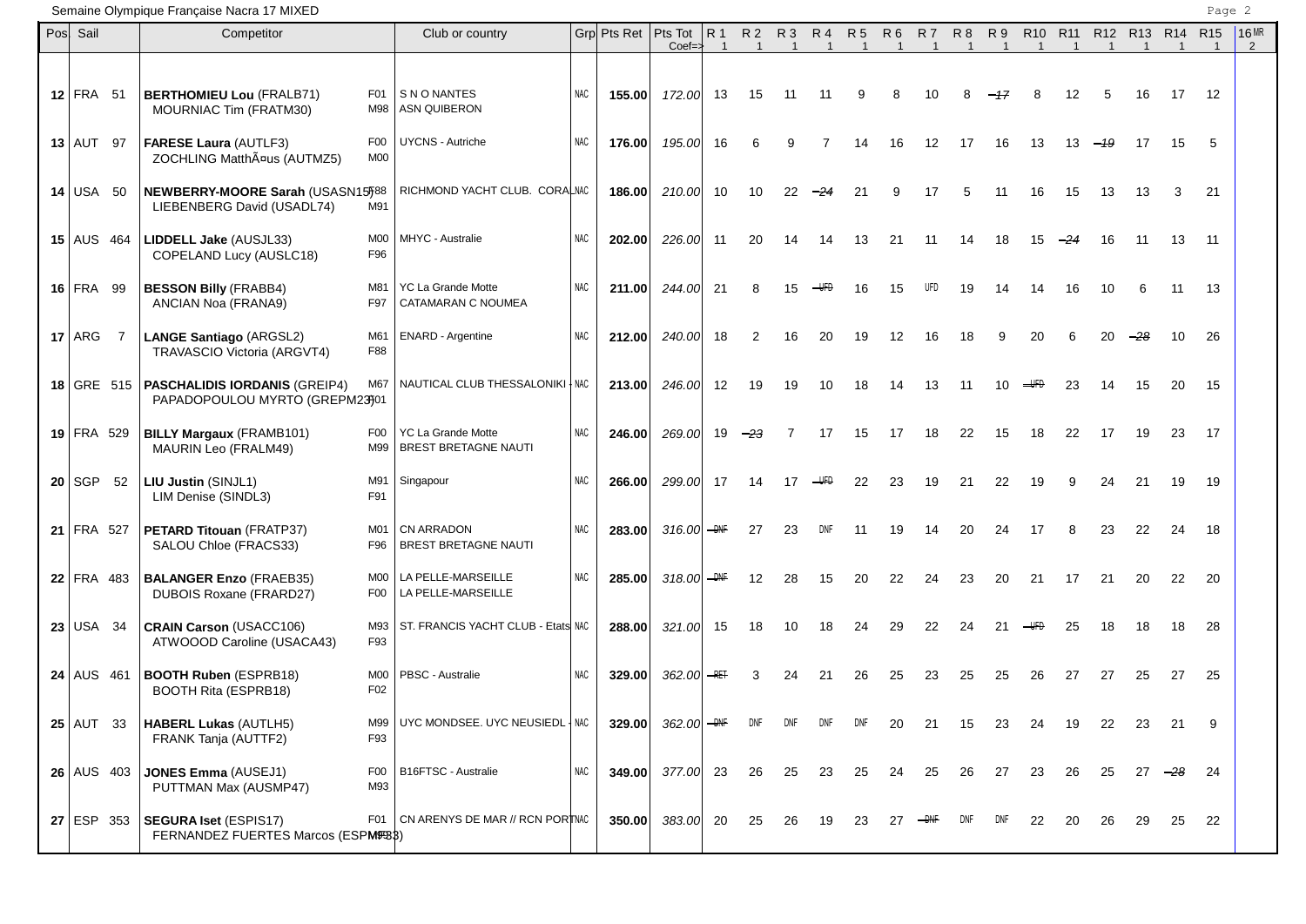Semaine Olympique Française Nacra 17 MIXED

| Pos Sail          |              | $\frac{1}{2}$<br>Competitor                                                                    | Club or country                                  |            | Grp Pts Ret   Pts Tot | $Coef \Rightarrow$        |      |     | R1 R2 R3 R4 R5<br>$\overline{1}$ |                         | $\overline{1}$ | -1 | R6 R7<br>$\mathbf{1}$ | $\mathbf{1}$ | R8 R9<br>$\overline{1}$ | R10 R11 R12 R13 R14 R15<br>$\overline{1}$ | $\overline{1}$ | $\overline{1}$ |     |          |     | 16MR<br>$\overline{2}$ |
|-------------------|--------------|------------------------------------------------------------------------------------------------|--------------------------------------------------|------------|-----------------------|---------------------------|------|-----|----------------------------------|-------------------------|----------------|----|-----------------------|--------------|-------------------------|-------------------------------------------|----------------|----------------|-----|----------|-----|------------------------|
| $12$ FRA 51       |              | <b>BERTHOMIEU Lou (FRALB71)</b><br>F <sub>0</sub> 1<br>MOURNIAC Tim (FRATM30)<br>M98           | <b>SNONANTES</b><br><b>ASN QUIBERON</b>          | <b>NAC</b> | 155.00                | 172.00                    | 13   | 15  | 11                               | -11                     |                | 8  |                       |              |                         |                                           | 12             |                | 16  | 17       | 12  |                        |
| $13$ AUT 97       |              | <b>FARESE Laura (AUTLF3)</b><br>F <sub>0</sub><br>ZOCHLING Matthäus (AUTMZ5)<br>M <sub>0</sub> | <b>UYCNS - Autriche</b>                          | NAC        | 176.00                | 195.00                    | -16  |     |                                  |                         | 14             | 16 | 12                    | 17           | 16                      | 13                                        | 13             | - 19           | 17  | 15       | 5   |                        |
| 14 USA 50         |              | NEWBERRY-MOORE Sarah (USASN15)588<br>M91<br>LIEBENBERG David (USADL74)                         | RICHMOND YACHT CLUB. CORALNAC                    |            | 186.00                | 210.00                    | 10   | 10  | 22                               |                         | 21             |    |                       |              | 11                      | 16                                        | 15             | 13             | 13  | 3        | 21  |                        |
| $15$ AUS 464      |              | LIDDELL Jake (AUSJL33)<br>M <sub>0</sub><br>F96<br>COPELAND Lucy (AUSLC18)                     | MHYC - Australie                                 | <b>NAC</b> | 202.00                | 226.00                    | -11  | 20  | 14                               | 14                      | 13             | 21 | -11                   | 14           | 18                      | 15                                        | $-24$          | 16             | -11 | 13       | -11 |                        |
| $16$ FRA 99       |              | <b>BESSON Billy (FRABB4)</b><br>M81<br>F97<br>ANCIAN Noa (FRANA9)                              | <b>YC La Grande Motte</b><br>CATAMARAN C NOUMEA  | <b>NAC</b> | 211.00                | 244.00                    | -21  |     |                                  |                         |                | 15 |                       |              | 14                      | 14                                        | 16             | 10             |     | 11       | 13  |                        |
| $17$ ARG 7        |              | <b>LANGE Santiago (ARGSL2)</b><br>M61<br>TRAVASCIO Victoria (ARGVT4)<br>F88                    | <b>ENARD - Argentine</b>                         | <b>NAC</b> | 212.00                | 240.00                    | 18   | 2   | 16                               | 20                      | 19             | 12 | 16                    | 18           | g                       | 20                                        | 6              | 20             |     | 10       | 26  |                        |
|                   | $18$ GRE 515 | <b>PASCHALIDIS IORDANIS (GREIP4)</b><br>M67<br>PAPADOPOULOU MYRTO (GREPM23)01                  | NAUTICAL CLUB THESSALONIKI   NAC                 |            |                       | 213.00 246.00             | -12  | 19  | 19                               | 10                      | 18             | 14 | 13                    | 11           | 10                      | <del>UFD</del>                            | 23             | 14             | 15  | 20       | 15  |                        |
| $19$ FRA 529      |              | <b>BILLY Margaux (FRAMB101)</b><br>F00<br>MAURIN Leo (FRALM49)                                 | YC La Grande Motte<br>M99   BREST BRETAGNE NAUTI | <b>NAC</b> | 246.00                | 269.00                    | 19   | -23 |                                  | 17                      | 15             | 17 | 18                    | 22           | 15                      | 18                                        | 22             | 17             | 19  | 23       | 17  |                        |
| $20$ SGP 52       |              | LIU Justin (SINJL1)<br>M91<br>LIM Denise (SINDL3)<br>F91                                       | Singapour                                        | <b>NAC</b> | 266.00                | 299.00                    | -17  | 14  | 17                               | $\overline{\text{HFD}}$ | 22             | 23 | 19                    | 21           | 22                      | 19                                        | 9              | 24             | 21  | 19       | 19  |                        |
| 21 FRA 527        |              | PETARD Titouan (FRATP37)<br>M01<br>F96<br>SALOU Chloe (FRACS33)                                | CN ARRADON<br><b>BREST BRETAGNE NAUTI</b>        | <b>NAC</b> | 283.00                | 316.00 $-$ <del>DNF</del> |      | 27  | 23                               |                         | 11             | 19 |                       | 20           | 24                      | 17                                        |                | 23             | 22  | 24       | 18  |                        |
| $22$ FRA 483      |              | <b>BALANGER Enzo (FRAEB35)</b><br>M <sub>0</sub><br>DUBOIS Roxane (FRARD27)<br>F00             | LA PELLE-MARSEILLE<br>LA PELLE-MARSEILLE         | <b>NAC</b> | 285.00                | 318.00 $\rightarrow$ HHF  |      | 12  | 28                               | 15                      | 20             | 22 | 24                    | 23           | 20                      | 21                                        | 17             | 21             | 20  | 22       | 20  |                        |
| $23$ USA 34       |              | <b>CRAIN Carson (USACC106)</b><br>M93<br>F93<br>ATWOOOD Caroline (USACA43)                     | ST. FRANCIS YACHT CLUB - Etats NAC               |            | 288.00                | 321.00                    | - 15 | 18  | 10                               | 18                      | 24             | 29 | 22                    | 24           | 21                      |                                           | 25             | 18             | 18  | 18       | 28  |                        |
| $24$ AUS 461      |              | <b>BOOTH Ruben (ESPRB18)</b><br>M <sub>0</sub><br>F02<br><b>BOOTH Rita (ESPRB18)</b>           | <b>PBSC - Australie</b>                          | <b>NAC</b> | 329.00                | 362.00 $-$ RET            |      |     |                                  | 21                      | 26             | 25 | 23                    | 25           | 25                      | 26                                        | 27             | 27             | 25  | 27       | 25  |                        |
| $25$ AUT 33       |              | <b>HABERL Lukas (AUTLH5)</b><br>M99<br>FRANK Tanja (AUTTF2)<br>F93                             | UYC MONDSEE. UYC NEUSIEDL   NAC                  |            | 329.00                | 362.00                    |      |     |                                  |                         |                |    |                       |              |                         |                                           |                |                |     | 21       | 9   |                        |
| <b>26</b> AUS 403 |              | <b>JONES Emma (AUSEJ1)</b><br>F <sub>0</sub><br>PUTTMAN Max (AUSMP47)<br>M93                   | B16FTSC - Australie                              | <b>NAC</b> | 349.00                | 377.00 23                 |      | 26  | 25                               | 23                      | 25             | 24 | 25                    | 26           | 27                      | 23                                        | 26             | 25             |     | 27 $-28$ | 24  |                        |
| <b>27 ESP 353</b> |              | F <sub>0</sub> 1<br><b>SEGURA Iset (ESPIS17)</b><br>FERNANDEZ FUERTES Marcos (ESPM9983)        | CN ARENYS DE MAR // RCN PORTNAC                  |            | 350.00                | 383.00 20                 |      | 25  | 26                               | 19                      |                |    |                       |              |                         | 22                                        | 20             | 26             | 29  | 25       | 22  |                        |